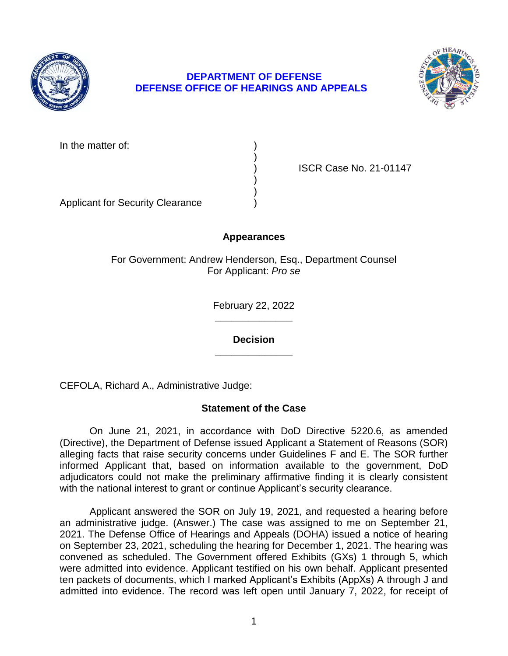

# **DEPARTMENT OF DEFENSE DEFENSE OFFICE OF HEARINGS AND APPEALS**



In the matter of:

) ISCR Case No. 21-01147

Applicant for Security Clearance )

# **Appearances**

)

) )

For Government: Andrew Henderson, Esq., Department Counsel For Applicant: *Pro se* 

> **\_\_\_\_\_\_\_\_\_\_\_\_\_\_**  February 22, 2022

**\_\_\_\_\_\_\_\_\_\_\_\_\_\_ Decision** 

CEFOLA, Richard A., Administrative Judge:

# **Statement of the Case**

 On June 21, 2021, in accordance with DoD Directive 5220.6, as amended (Directive), the Department of Defense issued Applicant a Statement of Reasons (SOR) alleging facts that raise security concerns under Guidelines F and E. The SOR further informed Applicant that, based on information available to the government, DoD adjudicators could not make the preliminary affirmative finding it is clearly consistent with the national interest to grant or continue Applicant's security clearance.

 Applicant answered the SOR on July 19, 2021, and requested a hearing before an administrative judge. (Answer.) The case was assigned to me on September 21, 2021. The Defense Office of Hearings and Appeals (DOHA) issued a notice of hearing convened as scheduled. The Government offered Exhibits (GXs) 1 through 5, which were admitted into evidence. Applicant testified on his own behalf. Applicant presented ten packets of documents, which I marked Applicant's Exhibits (AppXs) A through J and admitted into evidence. The record was left open until January 7, 2022, for receipt of on September 23, 2021, scheduling the hearing for December 1, 2021. The hearing was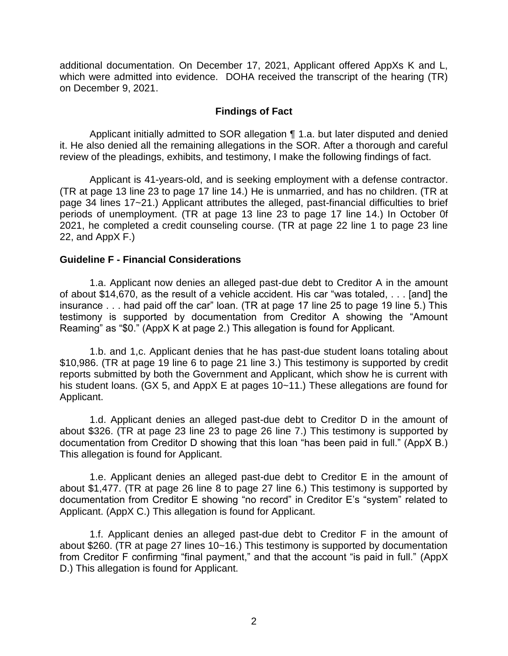additional documentation. On December 17, 2021, Applicant offered AppXs K and L, which were admitted into evidence. DOHA received the transcript of the hearing (TR) on December 9, 2021.

## **Findings of Fact**

 Applicant initially admitted to SOR allegation ¶ 1.a. but later disputed and denied it. He also denied all the remaining allegations in the SOR. After a thorough and careful review of the pleadings, exhibits, and testimony, I make the following findings of fact.

 (TR at page 13 line 23 to page 17 line 14.) He is unmarried, and has no children. (TR at page 34 lines 17~21.) Applicant attributes the alleged, past-financial difficulties to brief periods of unemployment. (TR at page 13 line 23 to page 17 line 14.) In October 0f 2021, he completed a credit counseling course. (TR at page 22 line 1 to page 23 line Applicant is 41-years-old, and is seeking employment with a defense contractor. 22, and AppX F.)

## **Guideline F - Financial Considerations**

1.a. Applicant now denies an alleged past-due debt to Creditor A in the amount of about \$14,670, as the result of a vehicle accident. His car "was totaled, . . . [and] the insurance . . . had paid off the car" loan. (TR at page 17 line 25 to page 19 line 5.) This testimony is supported by documentation from Creditor A showing the "Amount Reaming" as "\$0." (AppX K at page 2.) This allegation is found for Applicant.

1.b. and 1,c. Applicant denies that he has past-due student loans totaling about \$10,986. (TR at page 19 line 6 to page 21 line 3.) This testimony is supported by credit reports submitted by both the Government and Applicant, which show he is current with his student loans. (GX 5, and AppX E at pages 10~11.) These allegations are found for Applicant.

1.d. Applicant denies an alleged past-due debt to Creditor D in the amount of about \$326. (TR at page 23 line 23 to page 26 line 7.) This testimony is supported by documentation from Creditor D showing that this loan "has been paid in full." (AppX B.) This allegation is found for Applicant.

1.e. Applicant denies an alleged past-due debt to Creditor E in the amount of about \$1,477. (TR at page 26 line 8 to page 27 line 6.) This testimony is supported by documentation from Creditor E showing "no record" in Creditor E's "system" related to Applicant. (AppX C.) This allegation is found for Applicant.

1.f. Applicant denies an alleged past-due debt to Creditor F in the amount of about \$260. (TR at page 27 lines 10~16.) This testimony is supported by documentation from Creditor F confirming "final payment," and that the account "is paid in full." (AppX D.) This allegation is found for Applicant.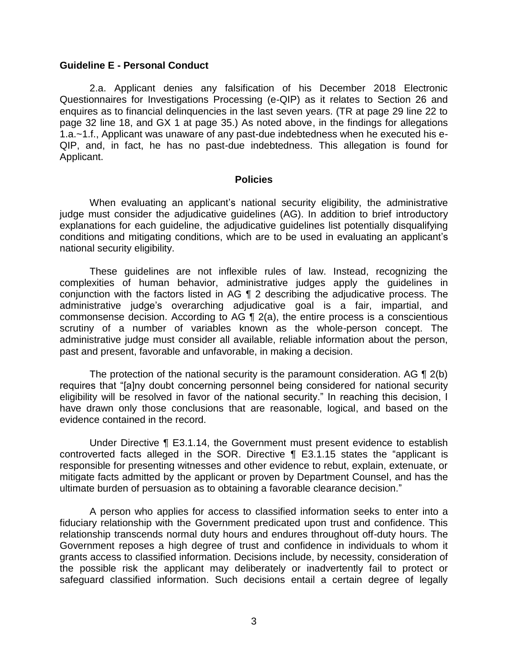#### **Guideline E - Personal Conduct**

2.a. Applicant denies any falsification of his December 2018 Electronic Questionnaires for Investigations Processing (e-QIP) as it relates to Section 26 and enquires as to financial delinquencies in the last seven years. (TR at page 29 line 22 to page 32 line 18, and GX 1 at page 35.) As noted above, in the findings for allegations 1.a.~1.f., Applicant was unaware of any past-due indebtedness when he executed his e-QIP, and, in fact, he has no past-due indebtedness. This allegation is found for Applicant.

#### **Policies**

 When evaluating an applicant's national security eligibility, the administrative judge must consider the adjudicative guidelines (AG). In addition to brief introductory explanations for each guideline, the adjudicative guidelines list potentially disqualifying conditions and mitigating conditions, which are to be used in evaluating an applicant's national security eligibility.

 These guidelines are not inflexible rules of law. Instead, recognizing the complexities of human behavior, administrative judges apply the guidelines in conjunction with the factors listed in AG ¶ 2 describing the adjudicative process. The commonsense decision. According to AG  $\P$  2(a), the entire process is a conscientious scrutiny of a number of variables known as the whole-person concept. The administrative judge must consider all available, reliable information about the person, administrative judge's overarching adjudicative goal is a fair, impartial, and past and present, favorable and unfavorable, in making a decision.

The protection of the national security is the paramount consideration. AG  $\P$  2(b) eligibility will be resolved in favor of the national security." In reaching this decision, I have drawn only those conclusions that are reasonable, logical, and based on the requires that "[a]ny doubt concerning personnel being considered for national security evidence contained in the record.

 Under Directive ¶ E3.1.14, the Government must present evidence to establish controverted facts alleged in the SOR. Directive ¶ E3.1.15 states the "applicant is responsible for presenting witnesses and other evidence to rebut, explain, extenuate, or mitigate facts admitted by the applicant or proven by Department Counsel, and has the ultimate burden of persuasion as to obtaining a favorable clearance decision."

 A person who applies for access to classified information seeks to enter into a fiduciary relationship with the Government predicated upon trust and confidence. This relationship transcends normal duty hours and endures throughout off-duty hours. The Government reposes a high degree of trust and confidence in individuals to whom it grants access to classified information. Decisions include, by necessity, consideration of the possible risk the applicant may deliberately or inadvertently fail to protect or safeguard classified information. Such decisions entail a certain degree of legally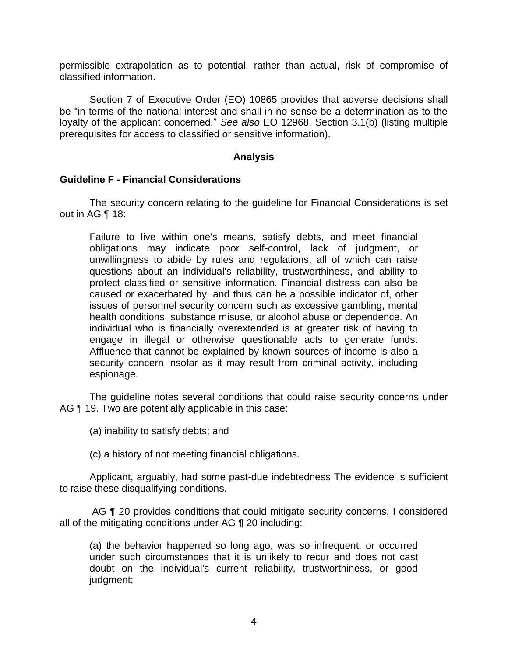permissible extrapolation as to potential, rather than actual, risk of compromise of classified information.

Section 7 of Executive Order (EO) 10865 provides that adverse decisions shall be "in terms of the national interest and shall in no sense be a determination as to the loyalty of the applicant concerned." *See also* EO 12968, Section 3.1(b) (listing multiple prerequisites for access to classified or sensitive information).

### **Analysis**

### **Guideline F - Financial Considerations**

 The security concern relating to the guideline for Financial Considerations is set out in AG ¶ 18:

Failure to live within one's means, satisfy debts, and meet financial obligations may indicate poor self-control, lack of judgment, or unwillingness to abide by rules and regulations, all of which can raise questions about an individual's reliability, trustworthiness, and ability to protect classified or sensitive information. Financial distress can also be caused or exacerbated by, and thus can be a possible indicator of, other issues of personnel security concern such as excessive gambling, mental health conditions, substance misuse, or alcohol abuse or dependence. An individual who is financially overextended is at greater risk of having to engage in illegal or otherwise questionable acts to generate funds. Affluence that cannot be explained by known sources of income is also a security concern insofar as it may result from criminal activity, including espionage.

 The guideline notes several conditions that could raise security concerns under AG ¶ 19. Two are potentially applicable in this case:

- (a) inability to satisfy debts; and
- (c) a history of not meeting financial obligations.

 Applicant, arguably, had some past-due indebtedness The evidence is sufficient to raise these disqualifying conditions.

AG  $\P$  20 provides conditions that could mitigate security concerns. I considered all of the mitigating conditions under AG ¶ 20 including:

 (a) the behavior happened so long ago, was so infrequent, or occurred doubt on the individual's current reliability, trustworthiness, or good under such circumstances that it is unlikely to recur and does not cast judgment;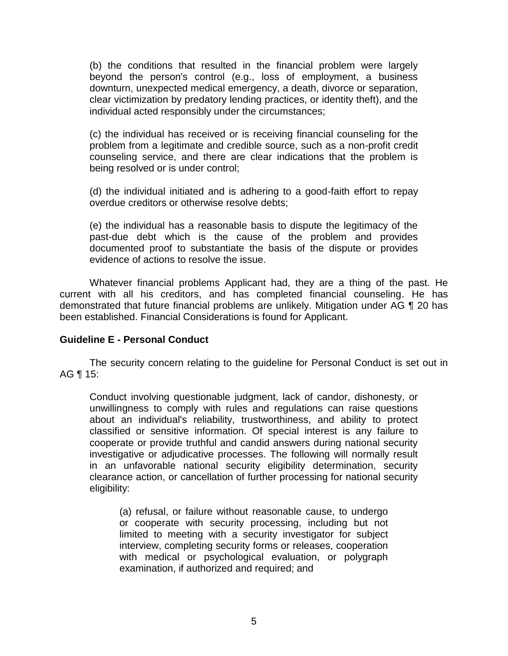(b) the conditions that resulted in the financial problem were largely beyond the person's control (e.g., loss of employment, a business downturn, unexpected medical emergency, a death, divorce or separation, clear victimization by predatory lending practices, or identity theft), and the individual acted responsibly under the circumstances;

(c) the individual has received or is receiving financial counseling for the problem from a legitimate and credible source, such as a non-profit credit counseling service, and there are clear indications that the problem is being resolved or is under control;

(d) the individual initiated and is adhering to a good-faith effort to repay overdue creditors or otherwise resolve debts;

(e) the individual has a reasonable basis to dispute the legitimacy of the past-due debt which is the cause of the problem and provides documented proof to substantiate the basis of the dispute or provides evidence of actions to resolve the issue.

 Whatever financial problems Applicant had, they are a thing of the past. He current with all his creditors, and has completed financial counseling. He has demonstrated that future financial problems are unlikely. Mitigation under AG ¶ 20 has been established. Financial Considerations is found for Applicant.

## **Guideline E - Personal Conduct**

 The security concern relating to the guideline for Personal Conduct is set out in AG ¶ 15:

 Conduct involving questionable judgment, lack of candor, dishonesty, or unwillingness to comply with rules and regulations can raise questions about an individual's reliability, trustworthiness, and ability to protect classified or sensitive information. Of special interest is any failure to cooperate or provide truthful and candid answers during national security investigative or adjudicative processes. The following will normally result in an unfavorable national security eligibility determination, security clearance action, or cancellation of further processing for national security eligibility:

(a) refusal, or failure without reasonable cause, to undergo or cooperate with security processing, including but not limited to meeting with a security investigator for subject interview, completing security forms or releases, cooperation with medical or psychological evaluation, or polygraph examination, if authorized and required; and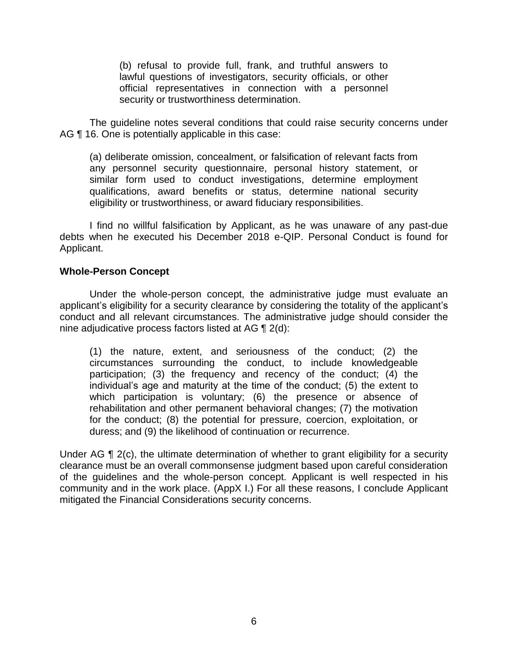(b) refusal to provide full, frank, and truthful answers to lawful questions of investigators, security officials, or other official representatives in connection with a personnel security or trustworthiness determination.

 The guideline notes several conditions that could raise security concerns under AG  $\P$  16. One is potentially applicable in this case:

 any personnel security questionnaire, personal history statement, or similar form used to conduct investigations, determine employment qualifications, award benefits or status, determine national security (a) deliberate omission, concealment, or falsification of relevant facts from eligibility or trustworthiness, or award fiduciary responsibilities.

 I find no willful falsification by Applicant, as he was unaware of any past-due debts when he executed his December 2018 e-QIP. Personal Conduct is found for Applicant.

### **Whole-Person Concept**

 Under the whole-person concept, the administrative judge must evaluate an applicant's eligibility for a security clearance by considering the totality of the applicant's conduct and all relevant circumstances. The administrative judge should consider the nine adjudicative process factors listed at AG ¶ 2(d):

(1) the nature, extent, and seriousness of the conduct; (2) the circumstances surrounding the conduct, to include knowledgeable participation; (3) the frequency and recency of the conduct; (4) the individual's age and maturity at the time of the conduct; (5) the extent to which participation is voluntary; (6) the presence or absence of rehabilitation and other permanent behavioral changes; (7) the motivation for the conduct; (8) the potential for pressure, coercion, exploitation, or duress; and (9) the likelihood of continuation or recurrence.

Under AG ¶ 2(c), the ultimate determination of whether to grant eligibility for a security of the guidelines and the whole-person concept. Applicant is well respected in his community and in the work place. (AppX I.) For all these reasons, I conclude Applicant clearance must be an overall commonsense judgment based upon careful consideration mitigated the Financial Considerations security concerns.